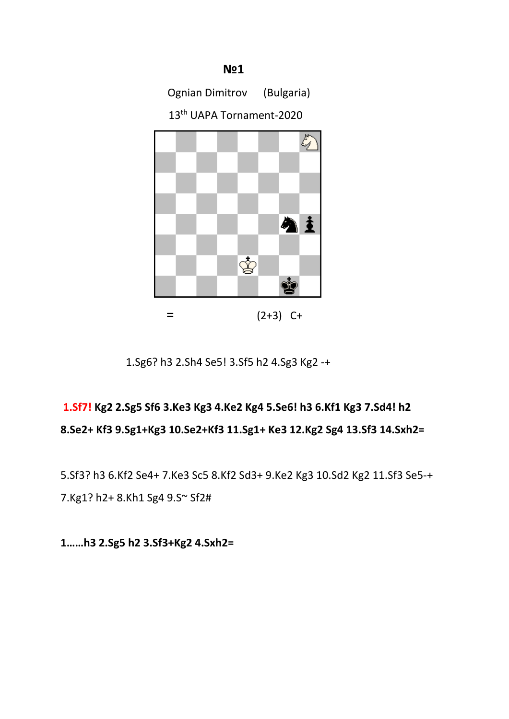

1.Sg6? h3 2.Sh4 Se5! 3.Sf5 h2 4.Sg3 Kg2 -+

# **1.Sf7! Kg2 2.Sg5 Sf6 3.Ke3 Kg3 4.Ke2 Kg4 5.Se6! h3 6.Kf1 Kg3 7.Sd4! h2 8.Se2+ Kf3 9.Sg1+Kg3 10.Se2+Kf3 11.Sg1+ Ke3 12.Kg2 Sg4 13.Sf3 14.Sxh2=**

5.Sf3? h3 6.Kf2 Se4+ 7.Ke3 Sc5 8.Kf2 Sd3+ 9.Ke2 Kg3 10.Sd2 Kg2 11.Sf3 Se5-+ 7.Kg1? h2+ 8.Kh1 Sg4 9.S~ Sf2#

**1……h3 2.Sg5 h2 3.Sf3+Kg2 4.Sxh2=**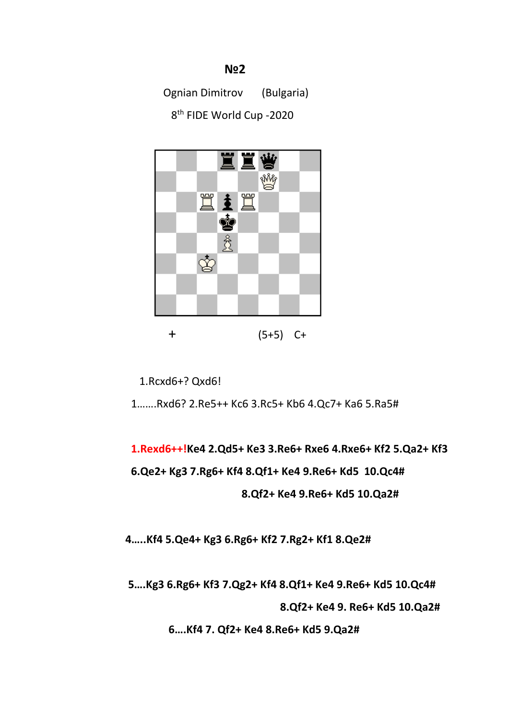Ognian Dimitrov (Bulgaria)

8<sup>th</sup> FIDE World Cup -2020



1.Rcxd6+? Qxd6!

1…….Rxd6? 2.Re5++ Kc6 3.Rc5+ Kb6 4.Qc7+ Ka6 5.Ra5#

**1.Rexd6++!Ke4 2.Qd5+ Ke3 3.Re6+ Rxe6 4.Rxe6+ Kf2 5.Qa2+ Kf3 6.Qe2+ Kg3 7.Rg6+ Kf4 8.Qf1+ Ke4 9.Re6+ Kd5 10.Qc4# 8.Qf2+ Ke4 9.Re6+ Kd5 10.Qa2#**

 **4…..Kf4 5.Qe4+ Kg3 6.Rg6+ Kf2 7.Rg2+ Kf1 8.Qe2#**

 **5….Kg3 6.Rg6+ Kf3 7.Qg2+ Kf4 8.Qf1+ Ke4 9.Re6+ Kd5 10.Qc4#**

 **8.Qf2+ Ke4 9. Re6+ Kd5 10.Qa2#**

 **6….Kf4 7. Qf2+ Ke4 8.Re6+ Kd5 9.Qa2#**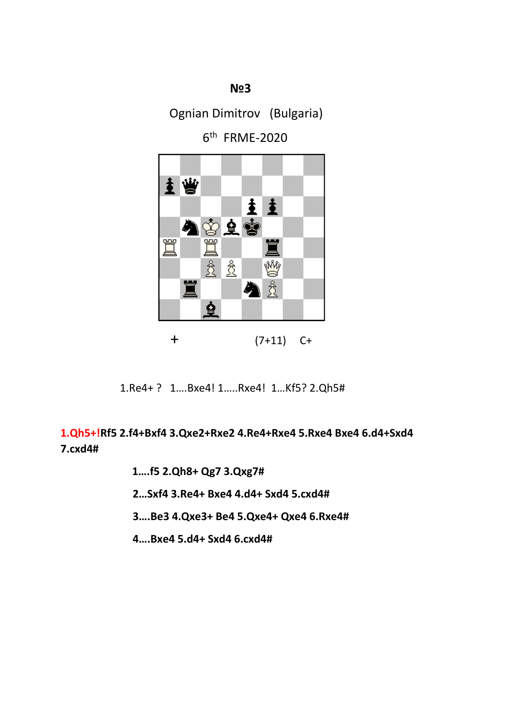Ognian Dimitrov (Bulgaria)

6th FRME-2020



+ (7+11) C+

1.Re4+ ? 1….Bxe4! 1…..Rxe4! 1…Kf5? 2.Qh5#

**1.Qh5+!Rf5 2.f4+Bxf4 3.Qxe2+Rxe2 4.Re4+Rxe4 5.Rxe4 Bxe4 6.d4+Sxd4 7.cxd4#**

- **1….f5 2.Qh8+ Qg7 3.Qxg7#**
- **2…Sxf4 3.Re4+ Bxe4 4.d4+ Sxd4 5.cxd4#**
- **3….Be3 4.Qxe3+ Be4 5.Qxe4+ Qxe4 6.Rxe4#**
- **4….Bxe4 5.d4+ Sxd4 6.cxd4#**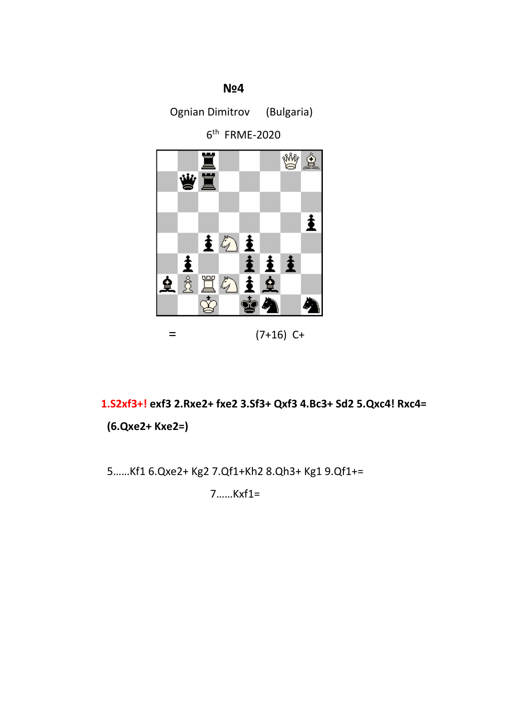

 **1.S2xf3+! exf3 2.Rxe2+ fxe2 3.Sf3+ Qxf3 4.Bc3+ Sd2 5.Qxc4! Rxc4=** 

**(6.Qxe2+ Kxe2=)**

5……Kf1 6.Qxe2+ Kg2 7.Qf1+Kh2 8.Qh3+ Kg1 9.Qf1+=

7……Kxf1=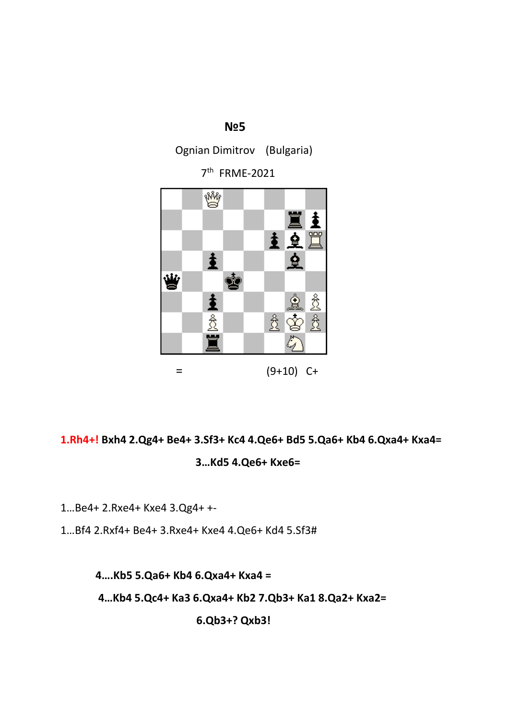Ognian Dimitrov (Bulgaria)

7th FRME-2021



**1.Rh4+! Bxh4 2.Qg4+ Be4+ 3.Sf3+ Kc4 4.Qe6+ Bd5 5.Qa6+ Kb4 6.Qxa4+ Kxa4= 3…Kd5 4.Qe6+ Kxe6=**

1…Be4+ 2.Rxe4+ Kxe4 3.Qg4+ +-

1…Bf4 2.Rxf4+ Be4+ 3.Rxe4+ Kxe4 4.Qe6+ Kd4 5.Sf3#

 **4….Kb5 5.Qa6+ Kb4 6.Qxa4+ Kxa4 =**

 **4…Kb4 5.Qc4+ Ka3 6.Qxa4+ Kb2 7.Qb3+ Ka1 8.Qa2+ Kxa2=**

**6.Qb3+? Qxb3!**